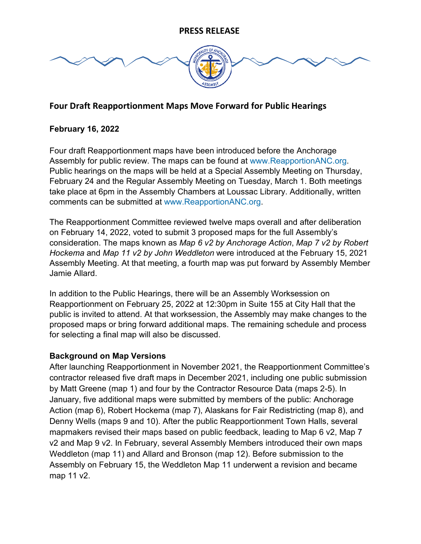

# **Four Draft Reapportionment Maps Move Forward for Public Hearings**

#### **February 16, 2022**

Four draft Reapportionment maps have been introduced before the Anchorage Assembly for public review. The maps can be found at [www.ReapportionANC.org.](http://www.reapportionanc.org/) Public hearings on the maps will be held at a Special Assembly Meeting on Thursday, February 24 and the Regular Assembly Meeting on Tuesday, March 1. Both meetings take place at 6pm in the Assembly Chambers at Loussac Library. Additionally, written comments can be submitted at [www.ReapportionANC.org.](http://www.reapportionanc.org/)

The Reapportionment Committee reviewed twelve maps overall and after deliberation on February 14, 2022, voted to submit 3 proposed maps for the full Assembly's consideration. The maps known as *Map 6 v2 by Anchorage Action*, *Map 7 v2 by Robert Hockema* and *Map 11 v2 by John Weddleton* were introduced at the February 15, 2021 Assembly Meeting. At that meeting, a fourth map was put forward by Assembly Member Jamie Allard.

In addition to the Public Hearings, there will be an Assembly Worksession on Reapportionment on February 25, 2022 at 12:30pm in Suite 155 at City Hall that the public is invited to attend. At that worksession, the Assembly may make changes to the proposed maps or bring forward additional maps. The remaining schedule and process for selecting a final map will also be discussed.

#### **Background on Map Versions**

After launching Reapportionment in November 2021, the Reapportionment Committee's contractor released five draft maps in December 2021, including one public submission by Matt Greene (map 1) and four by the Contractor Resource Data (maps 2-5). In January, five additional maps were submitted by members of the public: Anchorage Action (map 6), Robert Hockema (map 7), Alaskans for Fair Redistricting (map 8), and Denny Wells (maps 9 and 10). After the public Reapportionment Town Halls, several mapmakers revised their maps based on public feedback, leading to Map 6 v2, Map 7 v2 and Map 9 v2. In February, several Assembly Members introduced their own maps Weddleton (map 11) and Allard and Bronson (map 12). Before submission to the Assembly on February 15, the Weddleton Map 11 underwent a revision and became map 11 v2.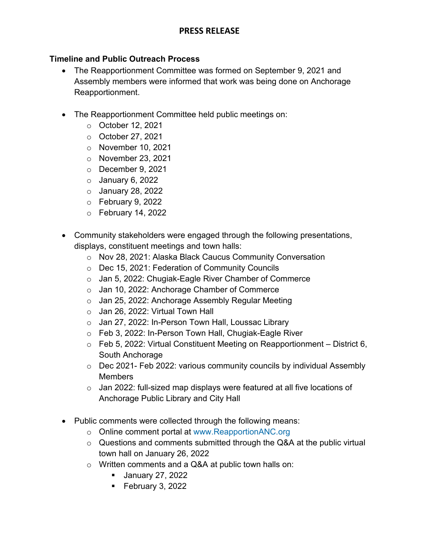## **PRESS RELEASE**

#### **Timeline and Public Outreach Process**

- The Reapportionment Committee was formed on September 9, 2021 and Assembly members were informed that work was being done on Anchorage Reapportionment.
- The Reapportionment Committee held public meetings on:
	- o October 12, 2021
	- o October 27, 2021
	- o November 10, 2021
	- o November 23, 2021
	- o December 9, 2021
	- $\circ$  January 6, 2022
	- $\circ$  January 28, 2022
	- $\circ$  February 9, 2022
	- $\circ$  February 14, 2022
- Community stakeholders were engaged through the following presentations, displays, constituent meetings and town halls:
	- o Nov 28, 2021: Alaska Black Caucus Community Conversation
	- o Dec 15, 2021: Federation of Community Councils
	- o Jan 5, 2022: Chugiak-Eagle River Chamber of Commerce
	- o Jan 10, 2022: Anchorage Chamber of Commerce
	- o Jan 25, 2022: Anchorage Assembly Regular Meeting
	- $\circ$  Jan 26, 2022: Virtual Town Hall
	- o Jan 27, 2022: In-Person Town Hall, Loussac Library
	- o Feb 3, 2022: In-Person Town Hall, Chugiak-Eagle River
	- $\circ$  Feb 5, 2022: Virtual Constituent Meeting on Reapportionment District 6, South Anchorage
	- $\circ$  Dec 2021- Feb 2022: various community councils by individual Assembly **Members**
	- $\circ$  Jan 2022: full-sized map displays were featured at all five locations of Anchorage Public Library and City Hall
- Public comments were collected through the following means:
	- o Online comment portal at [www.ReapportionANC.org](http://www.reapportionanc.org/)
	- o Questions and comments submitted through the Q&A at the public virtual town hall on January 26, 2022
	- o Written comments and a Q&A at public town halls on:
		- **January 27, 2022**
		- $\blacksquare$  February 3, 2022